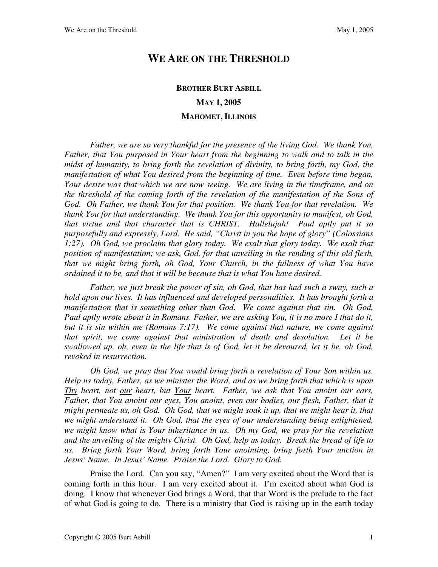## **WE ARE ON THE THRESHOLD**

## **BROTHER BURT ASBILL MAY 1, 2005 MAHOMET, ILLINOIS**

Father, we are so very thankful for the presence of the living God. We thank You, *Father, that You purposed in Your heart from the beginning to walk and to talk in the midst of humanity, to bring forth the revelation of divinity, to bring forth, my God, the manifestation of what You desired from the beginning of time. Even before time began, Your desire was that which we are now seeing. We are living in the timeframe, and on the threshold of the coming forth of the revelation of the manifestation of the Sons of God. Oh Father, we thank You for that position. We thank You for that revelation. We thank You for that understanding. We thank You for this opportunity to manifest, oh God, that virtue and that character that is CHRIST. Hallelujah! Paul aptly put it so purposefully and expressly, Lord. He said, "Christ in you the hope of glory" (Colossians 1:27). Oh God, we proclaim that glory today. We exalt that glory today. We exalt that position of manifestation; we ask, God, for that unveiling in the rending of this old flesh, that we might bring forth, oh God, Your Church, in the fullness of what You have ordained it to be, and that it will be because that is what You have desired.* 

*Father, we just break the power of sin, oh God, that has had such a sway, such a hold upon our lives. It has influenced and developed personalities. It has brought forth a manifestation that is something other than God. We come against that sin. Oh God, Paul aptly wrote about it in Romans. Father, we are asking You, it is no more I that do it, but it is sin within me (Romans 7:17). We come against that nature, we come against that spirit, we come against that ministration of death and desolation. Let it be swallowed up, oh, even in the life that is of God, let it be devoured, let it be, oh God, revoked in resurrection.* 

*Oh God, we pray that You would bring forth a revelation of Your Son within us. Help us today, Father, as we minister the Word, and as we bring forth that which is upon Thy heart, not our heart, but Your heart. Father, we ask that You anoint our ears, Father, that You anoint our eyes, You anoint, even our bodies, our flesh, Father, that it might permeate us, oh God. Oh God, that we might soak it up, that we might hear it, that we might understand it. Oh God, that the eyes of our understanding being enlightened, we might know what is Your inheritance in us. Oh my God, we pray for the revelation and the unveiling of the mighty Christ. Oh God, help us today. Break the bread of life to us. Bring forth Your Word, bring forth Your anointing, bring forth Your unction in Jesus' Name. In Jesus' Name. Praise the Lord. Glory to God.*

Praise the Lord. Can you say, "Amen?" I am very excited about the Word that is coming forth in this hour. I am very excited about it. I'm excited about what God is doing. I know that whenever God brings a Word, that that Word is the prelude to the fact of what God is going to do. There is a ministry that God is raising up in the earth today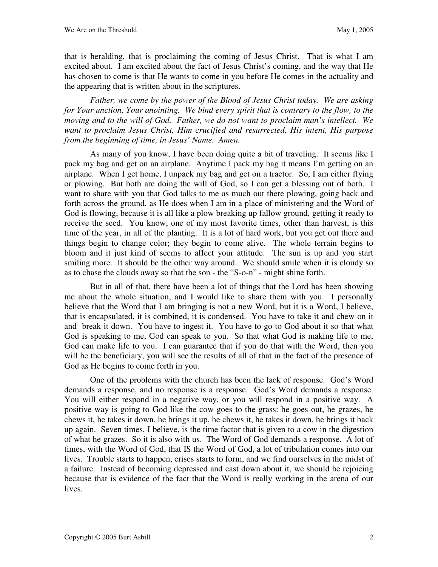that is heralding, that is proclaiming the coming of Jesus Christ. That is what I am excited about. I am excited about the fact of Jesus Christ's coming, and the way that He has chosen to come is that He wants to come in you before He comes in the actuality and the appearing that is written about in the scriptures.

*Father, we come by the power of the Blood of Jesus Christ today. We are asking for Your unction, Your anointing. We bind every spirit that is contrary to the flow, to the moving and to the will of God. Father, we do not want to proclaim man's intellect. We want to proclaim Jesus Christ, Him crucified and resurrected, His intent, His purpose from the beginning of time, in Jesus' Name. Amen.* 

As many of you know, I have been doing quite a bit of traveling. It seems like I pack my bag and get on an airplane. Anytime I pack my bag it means I'm getting on an airplane. When I get home, I unpack my bag and get on a tractor. So, I am either flying or plowing. But both are doing the will of God, so I can get a blessing out of both. I want to share with you that God talks to me as much out there plowing, going back and forth across the ground, as He does when I am in a place of ministering and the Word of God is flowing, because it is all like a plow breaking up fallow ground, getting it ready to receive the seed. You know, one of my most favorite times, other than harvest, is this time of the year, in all of the planting. It is a lot of hard work, but you get out there and things begin to change color; they begin to come alive. The whole terrain begins to bloom and it just kind of seems to affect your attitude. The sun is up and you start smiling more. It should be the other way around. We should smile when it is cloudy so as to chase the clouds away so that the son - the "S-o-n" - might shine forth.

But in all of that, there have been a lot of things that the Lord has been showing me about the whole situation, and I would like to share them with you. I personally believe that the Word that I am bringing is not a new Word, but it is a Word, I believe, that is encapsulated, it is combined, it is condensed. You have to take it and chew on it and break it down. You have to ingest it. You have to go to God about it so that what God is speaking to me, God can speak to you. So that what God is making life to me, God can make life to you. I can guarantee that if you do that with the Word, then you will be the beneficiary, you will see the results of all of that in the fact of the presence of God as He begins to come forth in you.

One of the problems with the church has been the lack of response. God's Word demands a response, and no response is a response. God's Word demands a response. You will either respond in a negative way, or you will respond in a positive way. A positive way is going to God like the cow goes to the grass: he goes out, he grazes, he chews it, he takes it down, he brings it up, he chews it, he takes it down, he brings it back up again. Seven times, I believe, is the time factor that is given to a cow in the digestion of what he grazes. So it is also with us. The Word of God demands a response. A lot of times, with the Word of God, that IS the Word of God, a lot of tribulation comes into our lives. Trouble starts to happen, crises starts to form, and we find ourselves in the midst of a failure. Instead of becoming depressed and cast down about it, we should be rejoicing because that is evidence of the fact that the Word is really working in the arena of our lives.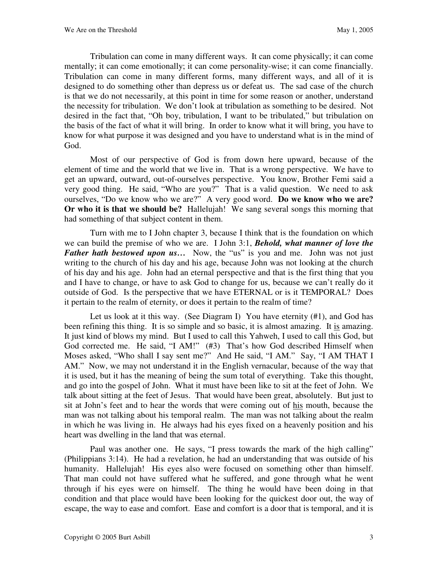Tribulation can come in many different ways. It can come physically; it can come mentally; it can come emotionally; it can come personality-wise; it can come financially. Tribulation can come in many different forms, many different ways, and all of it is designed to do something other than depress us or defeat us. The sad case of the church is that we do not necessarily, at this point in time for some reason or another, understand the necessity for tribulation. We don't look at tribulation as something to be desired. Not desired in the fact that, "Oh boy, tribulation, I want to be tribulated," but tribulation on the basis of the fact of what it will bring. In order to know what it will bring, you have to know for what purpose it was designed and you have to understand what is in the mind of God.

Most of our perspective of God is from down here upward, because of the element of time and the world that we live in. That is a wrong perspective. We have to get an upward, outward, out-of-ourselves perspective. You know, Brother Femi said a very good thing. He said, "Who are you?" That is a valid question. We need to ask ourselves, "Do we know who we are?" A very good word. **Do we know who we are? Or who it is that we should be?** Hallelujah! We sang several songs this morning that had something of that subject content in them.

Turn with me to I John chapter 3, because I think that is the foundation on which we can build the premise of who we are. I John 3:1, *Behold, what manner of love the Father hath bestowed upon us...* Now, the "us" is you and me. John was not just writing to the church of his day and his age, because John was not looking at the church of his day and his age. John had an eternal perspective and that is the first thing that you and I have to change, or have to ask God to change for us, because we can't really do it outside of God. Is the perspective that we have ETERNAL or is it TEMPORAL? Does it pertain to the realm of eternity, or does it pertain to the realm of time?

Let us look at it this way. (See Diagram I) You have eternity (#1), and God has been refining this thing. It is so simple and so basic, it is almost amazing. It is amazing. It just kind of blows my mind. But I used to call this Yahweh, I used to call this God, but God corrected me. He said, "I AM!" (#3) That's how God described Himself when Moses asked, "Who shall I say sent me?" And He said, "I AM." Say, "I AM THAT I AM." Now, we may not understand it in the English vernacular, because of the way that it is used, but it has the meaning of being the sum total of everything. Take this thought, and go into the gospel of John. What it must have been like to sit at the feet of John. We talk about sitting at the feet of Jesus. That would have been great, absolutely. But just to sit at John's feet and to hear the words that were coming out of his mouth, because the man was not talking about his temporal realm. The man was not talking about the realm in which he was living in. He always had his eyes fixed on a heavenly position and his heart was dwelling in the land that was eternal.

Paul was another one. He says, "I press towards the mark of the high calling" (Philippians 3:14). He had a revelation, he had an understanding that was outside of his humanity. Hallelujah! His eyes also were focused on something other than himself. That man could not have suffered what he suffered, and gone through what he went through if his eyes were on himself. The thing he would have been doing in that condition and that place would have been looking for the quickest door out, the way of escape, the way to ease and comfort. Ease and comfort is a door that is temporal, and it is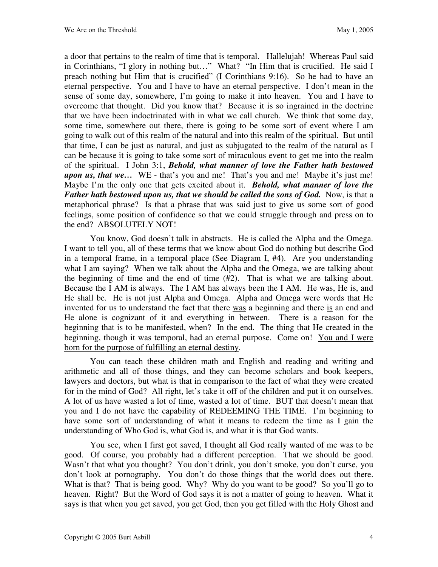a door that pertains to the realm of time that is temporal. Hallelujah! Whereas Paul said in Corinthians, "I glory in nothing but…" What? "In Him that is crucified. He said I preach nothing but Him that is crucified" (I Corinthians 9:16). So he had to have an eternal perspective. You and I have to have an eternal perspective. I don't mean in the sense of some day, somewhere, I'm going to make it into heaven. You and I have to overcome that thought. Did you know that? Because it is so ingrained in the doctrine that we have been indoctrinated with in what we call church. We think that some day, some time, somewhere out there, there is going to be some sort of event where I am going to walk out of this realm of the natural and into this realm of the spiritual. But until that time, I can be just as natural, and just as subjugated to the realm of the natural as I can be because it is going to take some sort of miraculous event to get me into the realm of the spiritual. I John 3:1, *Behold, what manner of love the Father hath bestowed upon us, that we...* WE - that's you and me! That's you and me! Maybe it's just me! Maybe I'm the only one that gets excited about it. *Behold, what manner of love the Father hath bestowed upon us, that we should be called the sons of God.* **Now, is that a** metaphorical phrase? Is that a phrase that was said just to give us some sort of good feelings, some position of confidence so that we could struggle through and press on to the end? ABSOLUTELY NOT!

You know, God doesn't talk in abstracts. He is called the Alpha and the Omega. I want to tell you, all of these terms that we know about God do nothing but describe God in a temporal frame, in a temporal place (See Diagram I, #4). Are you understanding what I am saying? When we talk about the Alpha and the Omega, we are talking about the beginning of time and the end of time (#2). That is what we are talking about. Because the I AM is always. The I AM has always been the I AM. He was, He is, and He shall be. He is not just Alpha and Omega. Alpha and Omega were words that He invented for us to understand the fact that there was a beginning and there is an end and He alone is cognizant of it and everything in between. There is a reason for the beginning that is to be manifested, when? In the end. The thing that He created in the beginning, though it was temporal, had an eternal purpose. Come on! You and I were born for the purpose of fulfilling an eternal destiny.

You can teach these children math and English and reading and writing and arithmetic and all of those things, and they can become scholars and book keepers, lawyers and doctors, but what is that in comparison to the fact of what they were created for in the mind of God? All right, let's take it off of the children and put it on ourselves. A lot of us have wasted a lot of time, wasted a lot of time. BUT that doesn't mean that you and I do not have the capability of REDEEMING THE TIME. I'm beginning to have some sort of understanding of what it means to redeem the time as I gain the understanding of Who God is, what God is, and what it is that God wants.

You see, when I first got saved, I thought all God really wanted of me was to be good. Of course, you probably had a different perception. That we should be good. Wasn't that what you thought? You don't drink, you don't smoke, you don't curse, you don't look at pornography. You don't do those things that the world does out there. What is that? That is being good. Why? Why do you want to be good? So you'll go to heaven. Right? But the Word of God says it is not a matter of going to heaven. What it says is that when you get saved, you get God, then you get filled with the Holy Ghost and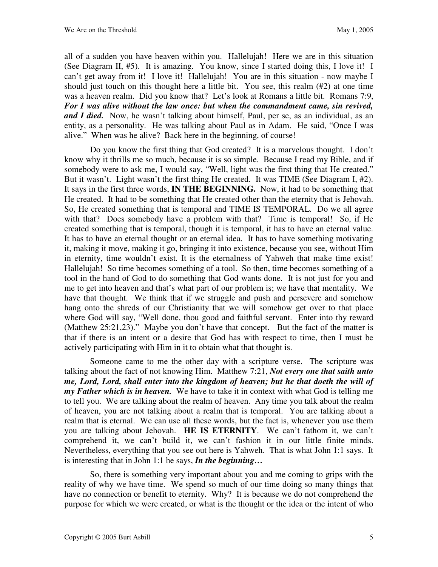all of a sudden you have heaven within you. Hallelujah! Here we are in this situation (See Diagram II, #5). It is amazing. You know, since I started doing this, I love it! I can't get away from it! I love it! Hallelujah! You are in this situation - now maybe I should just touch on this thought here a little bit. You see, this realm (#2) at one time was a heaven realm. Did you know that? Let's look at Romans a little bit. Romans 7:9, *For I was alive without the law once: but when the commandment came, sin revived, and I died.* Now, he wasn't talking about himself, Paul, per se, as an individual, as an entity, as a personality. He was talking about Paul as in Adam. He said, "Once I was alive." When was he alive? Back here in the beginning, of course!

Do you know the first thing that God created? It is a marvelous thought. I don't know why it thrills me so much, because it is so simple. Because I read my Bible, and if somebody were to ask me, I would say, "Well, light was the first thing that He created." But it wasn't. Light wasn't the first thing He created. It was TIME (See Diagram I, #2). It says in the first three words, **IN THE BEGINNING.** Now, it had to be something that He created. It had to be something that He created other than the eternity that is Jehovah. So, He created something that is temporal and TIME IS TEMPORAL. Do we all agree with that? Does somebody have a problem with that? Time is temporal! So, if He created something that is temporal, though it is temporal, it has to have an eternal value. It has to have an eternal thought or an eternal idea. It has to have something motivating it, making it move, making it go, bringing it into existence, because you see, without Him in eternity, time wouldn't exist. It is the eternalness of Yahweh that make time exist! Hallelujah! So time becomes something of a tool. So then, time becomes something of a tool in the hand of God to do something that God wants done. It is not just for you and me to get into heaven and that's what part of our problem is; we have that mentality. We have that thought. We think that if we struggle and push and persevere and somehow hang onto the shreds of our Christianity that we will somehow get over to that place where God will say, "Well done, thou good and faithful servant. Enter into thy reward (Matthew 25:21,23)." Maybe you don't have that concept. But the fact of the matter is that if there is an intent or a desire that God has with respect to time, then I must be actively participating with Him in it to obtain what that thought is.

Someone came to me the other day with a scripture verse. The scripture was talking about the fact of not knowing Him. Matthew 7:21, *Not every one that saith unto me, Lord, Lord, shall enter into the kingdom of heaven; but he that doeth the will of my Father which is in heaven.*We have to take it in context with what God is telling me to tell you. We are talking about the realm of heaven. Any time you talk about the realm of heaven, you are not talking about a realm that is temporal. You are talking about a realm that is eternal. We can use all these words, but the fact is, whenever you use them you are talking about Jehovah. **HE IS ETERNITY**. We can't fathom it, we can't comprehend it, we can't build it, we can't fashion it in our little finite minds. Nevertheless, everything that you see out here is Yahweh. That is what John 1:1 says. It is interesting that in John 1:1 he says, *In the beginning…*

So, there is something very important about you and me coming to grips with the reality of why we have time. We spend so much of our time doing so many things that have no connection or benefit to eternity. Why? It is because we do not comprehend the purpose for which we were created, or what is the thought or the idea or the intent of who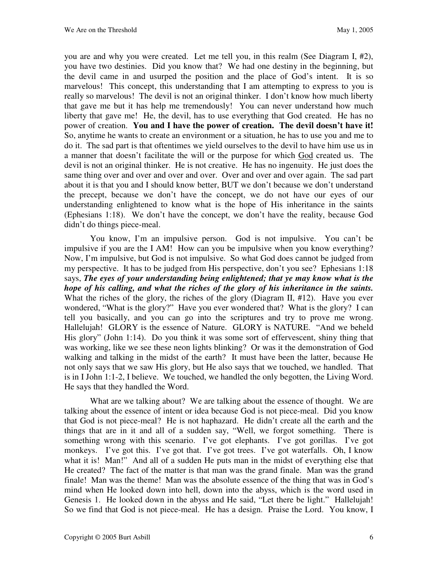you are and why you were created. Let me tell you, in this realm (See Diagram I, #2), you have two destinies. Did you know that? We had one destiny in the beginning, but the devil came in and usurped the position and the place of God's intent. It is so marvelous! This concept, this understanding that I am attempting to express to you is really so marvelous! The devil is not an original thinker. I don't know how much liberty that gave me but it has help me tremendously! You can never understand how much liberty that gave me! He, the devil, has to use everything that God created. He has no power of creation. **You and I have the power of creation. The devil doesn't have it!** So, anytime he wants to create an environment or a situation, he has to use you and me to do it. The sad part is that oftentimes we yield ourselves to the devil to have him use us in a manner that doesn't facilitate the will or the purpose for which God created us. The devil is not an original thinker. He is not creative. He has no ingenuity. He just does the same thing over and over and over and over. Over and over and over again. The sad part about it is that you and I should know better, BUT we don't because we don't understand the precept, because we don't have the concept, we do not have our eyes of our understanding enlightened to know what is the hope of His inheritance in the saints (Ephesians 1:18). We don't have the concept, we don't have the reality, because God didn't do things piece-meal.

You know, I'm an impulsive person. God is not impulsive. You can't be impulsive if you are the I AM! How can you be impulsive when you know everything? Now, I'm impulsive, but God is not impulsive. So what God does cannot be judged from my perspective. It has to be judged from His perspective, don't you see? Ephesians 1:18 says, *The eyes of your understanding being enlightened; that ye may know what is the hope of his calling, and what the riches of the glory of his inheritance in the saints.* What the riches of the glory, the riches of the glory (Diagram II, #12). Have you ever wondered, "What is the glory?" Have you ever wondered that? What is the glory? I can tell you basically, and you can go into the scriptures and try to prove me wrong. Hallelujah! GLORY is the essence of Nature. GLORY is NATURE. "And we beheld His glory" (John 1:14). Do you think it was some sort of effervescent, shiny thing that was working, like we see these neon lights blinking? Or was it the demonstration of God walking and talking in the midst of the earth? It must have been the latter, because He not only says that we saw His glory, but He also says that we touched, we handled. That is in I John 1:1-2, I believe. We touched, we handled the only begotten, the Living Word. He says that they handled the Word.

What are we talking about? We are talking about the essence of thought. We are talking about the essence of intent or idea because God is not piece-meal. Did you know that God is not piece-meal? He is not haphazard. He didn't create all the earth and the things that are in it and all of a sudden say, "Well, we forgot something. There is something wrong with this scenario. I've got elephants. I've got gorillas. I've got monkeys. I've got this. I've got that. I've got trees. I've got waterfalls. Oh, I know what it is! Man!" And all of a sudden He puts man in the midst of everything else that He created? The fact of the matter is that man was the grand finale. Man was the grand finale! Man was the theme! Man was the absolute essence of the thing that was in God's mind when He looked down into hell, down into the abyss, which is the word used in Genesis 1. He looked down in the abyss and He said, "Let there be light." Hallelujah! So we find that God is not piece-meal. He has a design. Praise the Lord. You know, I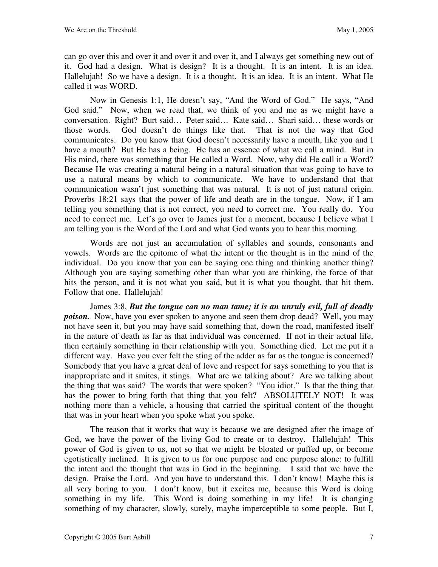can go over this and over it and over it and over it, and I always get something new out of it. God had a design. What is design? It is a thought. It is an intent. It is an idea. Hallelujah! So we have a design. It is a thought. It is an idea. It is an intent. What He called it was WORD.

Now in Genesis 1:1, He doesn't say, "And the Word of God." He says, "And God said." Now, when we read that, we think of you and me as we might have a conversation. Right? Burt said… Peter said… Kate said… Shari said… these words or those words. God doesn't do things like that. That is not the way that God communicates. Do you know that God doesn't necessarily have a mouth, like you and I have a mouth? But He has a being. He has an essence of what we call a mind. But in His mind, there was something that He called a Word. Now, why did He call it a Word? Because He was creating a natural being in a natural situation that was going to have to use a natural means by which to communicate. We have to understand that that communication wasn't just something that was natural. It is not of just natural origin. Proverbs 18:21 says that the power of life and death are in the tongue. Now, if I am telling you something that is not correct, you need to correct me. You really do. You need to correct me. Let's go over to James just for a moment, because I believe what I am telling you is the Word of the Lord and what God wants you to hear this morning.

Words are not just an accumulation of syllables and sounds, consonants and vowels. Words are the epitome of what the intent or the thought is in the mind of the individual. Do you know that you can be saying one thing and thinking another thing? Although you are saying something other than what you are thinking, the force of that hits the person, and it is not what you said, but it is what you thought, that hit them. Follow that one. Hallelujah!

James 3:8, *But the tongue can no man tame; it is an unruly evil, full of deadly poison.* Now, have you ever spoken to anyone and seen them drop dead? Well, you may not have seen it, but you may have said something that, down the road, manifested itself in the nature of death as far as that individual was concerned. If not in their actual life, then certainly something in their relationship with you. Something died. Let me put it a different way. Have you ever felt the sting of the adder as far as the tongue is concerned? Somebody that you have a great deal of love and respect for says something to you that is inappropriate and it smites, it stings. What are we talking about? Are we talking about the thing that was said? The words that were spoken? "You idiot." Is that the thing that has the power to bring forth that thing that you felt? ABSOLUTELY NOT! It was nothing more than a vehicle, a housing that carried the spiritual content of the thought that was in your heart when you spoke what you spoke.

The reason that it works that way is because we are designed after the image of God, we have the power of the living God to create or to destroy. Hallelujah! This power of God is given to us, not so that we might be bloated or puffed up, or become egotistically inclined. It is given to us for one purpose and one purpose alone: to fulfill the intent and the thought that was in God in the beginning. I said that we have the design. Praise the Lord. And you have to understand this. I don't know! Maybe this is all very boring to you. I don't know, but it excites me, because this Word is doing something in my life. This Word is doing something in my life! It is changing something of my character, slowly, surely, maybe imperceptible to some people. But I,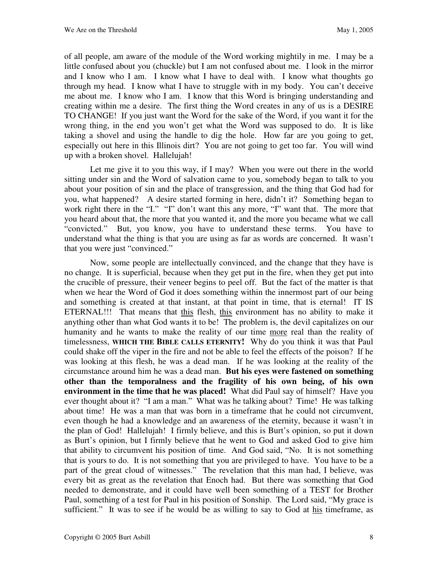of all people, am aware of the module of the Word working mightily in me. I may be a little confused about you (chuckle) but I am not confused about me. I look in the mirror and I know who I am. I know what I have to deal with. I know what thoughts go through my head. I know what I have to struggle with in my body. You can't deceive me about me. I know who I am. I know that this Word is bringing understanding and creating within me a desire. The first thing the Word creates in any of us is a DESIRE TO CHANGE! If you just want the Word for the sake of the Word, if you want it for the wrong thing, in the end you won't get what the Word was supposed to do. It is like taking a shovel and using the handle to dig the hole. How far are you going to get, especially out here in this Illinois dirt? You are not going to get too far. You will wind up with a broken shovel. Hallelujah!

Let me give it to you this way, if I may? When you were out there in the world sitting under sin and the Word of salvation came to you, somebody began to talk to you about your position of sin and the place of transgression, and the thing that God had for you, what happened? A desire started forming in here, didn't it? Something began to work right there in the "I." "I" don't want this any more, "I" want that. The more that you heard about that, the more that you wanted it, and the more you became what we call "convicted." But, you know, you have to understand these terms. You have to understand what the thing is that you are using as far as words are concerned. It wasn't that you were just "convinced."

Now, some people are intellectually convinced, and the change that they have is no change. It is superficial, because when they get put in the fire, when they get put into the crucible of pressure, their veneer begins to peel off. But the fact of the matter is that when we hear the Word of God it does something within the innermost part of our being and something is created at that instant, at that point in time, that is eternal! IT IS ETERNAL!!! That means that this flesh, this environment has no ability to make it anything other than what God wants it to be! The problem is, the devil capitalizes on our humanity and he wants to make the reality of our time more real than the reality of timelessness, **WHICH THE BIBLE CALLS ETERNITY!** Why do you think it was that Paul could shake off the viper in the fire and not be able to feel the effects of the poison? If he was looking at this flesh, he was a dead man. If he was looking at the reality of the circumstance around him he was a dead man. **But his eyes were fastened on something other than the temporalness and the fragility of his own being, of his own environment in the time that he was placed!** What did Paul say of himself? Have you ever thought about it? "I am a man." What was he talking about? Time! He was talking about time! He was a man that was born in a timeframe that he could not circumvent, even though he had a knowledge and an awareness of the eternity, because it wasn't in the plan of God! Hallelujah! I firmly believe, and this is Burt's opinion, so put it down as Burt's opinion, but I firmly believe that he went to God and asked God to give him that ability to circumvent his position of time. And God said, "No. It is not something that is yours to do. It is not something that you are privileged to have. You have to be a part of the great cloud of witnesses." The revelation that this man had, I believe, was every bit as great as the revelation that Enoch had. But there was something that God needed to demonstrate, and it could have well been something of a TEST for Brother Paul, something of a test for Paul in his position of Sonship. The Lord said, "My grace is sufficient." It was to see if he would be as willing to say to God at his timeframe, as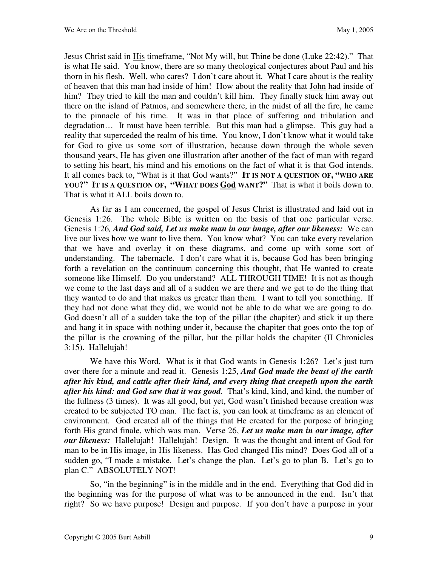Jesus Christ said in His timeframe, "Not My will, but Thine be done (Luke 22:42)." That is what He said. You know, there are so many theological conjectures about Paul and his thorn in his flesh. Well, who cares? I don't care about it. What I care about is the reality of heaven that this man had inside of him! How about the reality that John had inside of him? They tried to kill the man and couldn't kill him. They finally stuck him away out there on the island of Patmos, and somewhere there, in the midst of all the fire, he came to the pinnacle of his time. It was in that place of suffering and tribulation and degradation… It must have been terrible. But this man had a glimpse. This guy had a reality that superceded the realm of his time. You know, I don't know what it would take for God to give us some sort of illustration, because down through the whole seven thousand years, He has given one illustration after another of the fact of man with regard to setting his heart, his mind and his emotions on the fact of what it is that God intends. It all comes back to, "What is it that God wants?" **IT IS NOT A QUESTION OF, "WHO ARE YOU?" IT IS A QUESTION OF, "WHAT DOES God WANT?"** That is what it boils down to. That is what it ALL boils down to.

As far as I am concerned, the gospel of Jesus Christ is illustrated and laid out in Genesis 1:26. The whole Bible is written on the basis of that one particular verse. Genesis 1:26*, And God said, Let us make man in our image, after our likeness:*We can live our lives how we want to live them. You know what? You can take every revelation that we have and overlay it on these diagrams, and come up with some sort of understanding. The tabernacle. I don't care what it is, because God has been bringing forth a revelation on the continuum concerning this thought, that He wanted to create someone like Himself. Do you understand? ALL THROUGH TIME! It is not as though we come to the last days and all of a sudden we are there and we get to do the thing that they wanted to do and that makes us greater than them. I want to tell you something. If they had not done what they did, we would not be able to do what we are going to do. God doesn't all of a sudden take the top of the pillar (the chapiter) and stick it up there and hang it in space with nothing under it, because the chapiter that goes onto the top of the pillar is the crowning of the pillar, but the pillar holds the chapiter (II Chronicles 3:15). Hallelujah!

We have this Word. What is it that God wants in Genesis 1:26? Let's just turn over there for a minute and read it. Genesis 1:25, *And God made the beast of the earth after his kind, and cattle after their kind, and every thing that creepeth upon the earth after his kind: and God saw that it was good.*That's kind, kind, and kind, the number of the fullness (3 times). It was all good, but yet, God wasn't finished because creation was created to be subjected TO man. The fact is, you can look at timeframe as an element of environment. God created all of the things that He created for the purpose of bringing forth His grand finale, which was man. Verse 26, *Let us make man in our image, after our likeness:*Hallelujah! Hallelujah! Design. It was the thought and intent of God for man to be in His image, in His likeness. Has God changed His mind? Does God all of a sudden go, "I made a mistake. Let's change the plan. Let's go to plan B. Let's go to plan C." ABSOLUTELY NOT!

So, "in the beginning" is in the middle and in the end. Everything that God did in the beginning was for the purpose of what was to be announced in the end. Isn't that right? So we have purpose! Design and purpose. If you don't have a purpose in your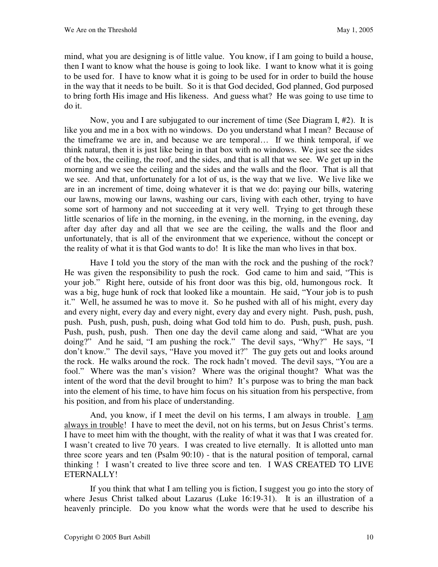mind, what you are designing is of little value. You know, if I am going to build a house, then I want to know what the house is going to look like. I want to know what it is going to be used for. I have to know what it is going to be used for in order to build the house in the way that it needs to be built. So it is that God decided, God planned, God purposed to bring forth His image and His likeness. And guess what? He was going to use time to do it.

Now, you and I are subjugated to our increment of time (See Diagram I, #2). It is like you and me in a box with no windows. Do you understand what I mean? Because of the timeframe we are in, and because we are temporal… If we think temporal, if we think natural, then it is just like being in that box with no windows. We just see the sides of the box, the ceiling, the roof, and the sides, and that is all that we see. We get up in the morning and we see the ceiling and the sides and the walls and the floor. That is all that we see. And that, unfortunately for a lot of us, is the way that we live. We live like we are in an increment of time, doing whatever it is that we do: paying our bills, watering our lawns, mowing our lawns, washing our cars, living with each other, trying to have some sort of harmony and not succeeding at it very well. Trying to get through these little scenarios of life in the morning, in the evening, in the morning, in the evening, day after day after day and all that we see are the ceiling, the walls and the floor and unfortunately, that is all of the environment that we experience, without the concept or the reality of what it is that God wants to do! It is like the man who lives in that box.

Have I told you the story of the man with the rock and the pushing of the rock? He was given the responsibility to push the rock. God came to him and said, "This is your job." Right here, outside of his front door was this big, old, humongous rock. It was a big, huge hunk of rock that looked like a mountain. He said, "Your job is to push it." Well, he assumed he was to move it. So he pushed with all of his might, every day and every night, every day and every night, every day and every night. Push, push, push, push. Push, push, push, push, doing what God told him to do. Push, push, push, push. Push, push, push, push. Then one day the devil came along and said, "What are you doing?" And he said, "I am pushing the rock." The devil says, "Why?" He says, "I don't know." The devil says, "Have you moved it?" The guy gets out and looks around the rock. He walks around the rock. The rock hadn't moved. The devil says, "You are a fool." Where was the man's vision? Where was the original thought? What was the intent of the word that the devil brought to him? It's purpose was to bring the man back into the element of his time, to have him focus on his situation from his perspective, from his position, and from his place of understanding.

And, you know, if I meet the devil on his terms, I am always in trouble. I am always in trouble! I have to meet the devil, not on his terms, but on Jesus Christ's terms. I have to meet him with the thought, with the reality of what it was that I was created for. I wasn't created to live 70 years. I was created to live eternally. It is allotted unto man three score years and ten (Psalm 90:10) - that is the natural position of temporal, carnal thinking ! I wasn't created to live three score and ten. I WAS CREATED TO LIVE ETERNALLY!

If you think that what I am telling you is fiction, I suggest you go into the story of where Jesus Christ talked about Lazarus (Luke 16:19-31). It is an illustration of a heavenly principle. Do you know what the words were that he used to describe his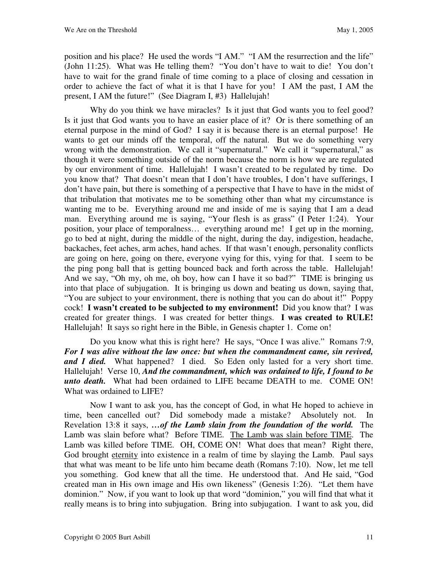position and his place? He used the words "I AM." "I AM the resurrection and the life" (John 11:25). What was He telling them? "You don't have to wait to die! You don't have to wait for the grand finale of time coming to a place of closing and cessation in order to achieve the fact of what it is that I have for you! I AM the past, I AM the present, I AM the future!" (See Diagram I, #3) Hallelujah!

Why do you think we have miracles? Is it just that God wants you to feel good? Is it just that God wants you to have an easier place of it? Or is there something of an eternal purpose in the mind of God? I say it is because there is an eternal purpose! He wants to get our minds off the temporal, off the natural. But we do something very wrong with the demonstration. We call it "supernatural." We call it "supernatural," as though it were something outside of the norm because the norm is how we are regulated by our environment of time. Hallelujah! I wasn't created to be regulated by time. Do you know that? That doesn't mean that I don't have troubles, I don't have sufferings, I don't have pain, but there is something of a perspective that I have to have in the midst of that tribulation that motivates me to be something other than what my circumstance is wanting me to be. Everything around me and inside of me is saying that I am a dead man. Everything around me is saying, "Your flesh is as grass" (I Peter 1:24). Your position, your place of temporalness… everything around me! I get up in the morning, go to bed at night, during the middle of the night, during the day, indigestion, headache, backaches, feet aches, arm aches, hand aches. If that wasn't enough, personality conflicts are going on here, going on there, everyone vying for this, vying for that. I seem to be the ping pong ball that is getting bounced back and forth across the table. Hallelujah! And we say, "Oh my, oh me, oh boy, how can I have it so bad?" TIME is bringing us into that place of subjugation. It is bringing us down and beating us down, saying that, "You are subject to your environment, there is nothing that you can do about it!" Poppy cock! **I wasn't created to be subjected to my environment!** Did you know that? I was created for greater things. I was created for better things. **I was created to RULE!** Hallelujah! It says so right here in the Bible, in Genesis chapter 1. Come on!

Do you know what this is right here? He says, "Once I was alive." Romans 7:9, *For I was alive without the law once: but when the commandment came, sin revived, and I died.*What happened? I died. So Eden only lasted for a very short time. Hallelujah! Verse 10, *And the commandment, which was ordained to life, I found to be unto death.* What had been ordained to LIFE became DEATH to me. COME ON! What was ordained to LIFE?

Now I want to ask you, has the concept of God, in what He hoped to achieve in time, been cancelled out? Did somebody made a mistake? Absolutely not. In Revelation 13:8 it says, *…of the Lamb slain from the foundation of the world.* The Lamb was slain before what? Before TIME. The Lamb was slain before TIME. The Lamb was killed before TIME. OH, COME ON! What does that mean? Right there, God brought eternity into existence in a realm of time by slaying the Lamb. Paul says that what was meant to be life unto him became death (Romans 7:10). Now, let me tell you something. God knew that all the time. He understood that. And He said, "God created man in His own image and His own likeness" (Genesis 1:26). "Let them have dominion." Now, if you want to look up that word "dominion," you will find that what it really means is to bring into subjugation. Bring into subjugation. I want to ask you, did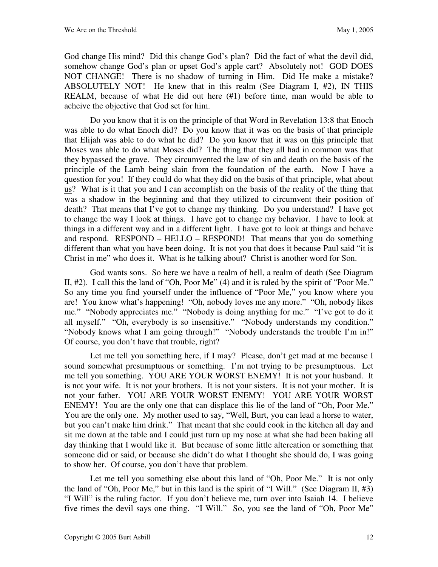God change His mind? Did this change God's plan? Did the fact of what the devil did, somehow change God's plan or upset God's apple cart? Absolutely not! GOD DOES NOT CHANGE! There is no shadow of turning in Him. Did He make a mistake? ABSOLUTELY NOT! He knew that in this realm (See Diagram I, #2), IN THIS REALM, because of what He did out here (#1) before time, man would be able to acheive the objective that God set for him.

Do you know that it is on the principle of that Word in Revelation 13:8 that Enoch was able to do what Enoch did? Do you know that it was on the basis of that principle that Elijah was able to do what he did? Do you know that it was on this principle that Moses was able to do what Moses did? The thing that they all had in common was that they bypassed the grave. They circumvented the law of sin and death on the basis of the principle of the Lamb being slain from the foundation of the earth. Now I have a question for you! If they could do what they did on the basis of that principle, what about us? What is it that you and I can accomplish on the basis of the reality of the thing that was a shadow in the beginning and that they utilized to circumvent their position of death? That means that I've got to change my thinking. Do you understand? I have got to change the way I look at things. I have got to change my behavior. I have to look at things in a different way and in a different light. I have got to look at things and behave and respond. RESPOND – HELLO – RESPOND! That means that you do something different than what you have been doing. It is not you that does it because Paul said "it is Christ in me" who does it. What is he talking about? Christ is another word for Son.

God wants sons. So here we have a realm of hell, a realm of death (See Diagram II, #2). I call this the land of "Oh, Poor Me" (4) and it is ruled by the spirit of "Poor Me." So any time you find yourself under the influence of "Poor Me," you know where you are! You know what's happening! "Oh, nobody loves me any more." "Oh, nobody likes me." "Nobody appreciates me." "Nobody is doing anything for me." "I've got to do it all myself." "Oh, everybody is so insensitive." "Nobody understands my condition." "Nobody knows what I am going through!" "Nobody understands the trouble I'm in!" Of course, you don't have that trouble, right?

Let me tell you something here, if I may? Please, don't get mad at me because I sound somewhat presumptuous or something. I'm not trying to be presumptuous. Let me tell you something. YOU ARE YOUR WORST ENEMY! It is not your husband. It is not your wife. It is not your brothers. It is not your sisters. It is not your mother. It is not your father. YOU ARE YOUR WORST ENEMY! YOU ARE YOUR WORST ENEMY! You are the only one that can displace this lie of the land of "Oh, Poor Me." You are the only one. My mother used to say, "Well, Burt, you can lead a horse to water, but you can't make him drink." That meant that she could cook in the kitchen all day and sit me down at the table and I could just turn up my nose at what she had been baking all day thinking that I would like it. But because of some little altercation or something that someone did or said, or because she didn't do what I thought she should do, I was going to show her. Of course, you don't have that problem.

Let me tell you something else about this land of "Oh, Poor Me." It is not only the land of "Oh, Poor Me," but in this land is the spirit of "I Will." (See Diagram II, #3) "I Will" is the ruling factor. If you don't believe me, turn over into Isaiah 14. I believe five times the devil says one thing. "I Will." So, you see the land of "Oh, Poor Me"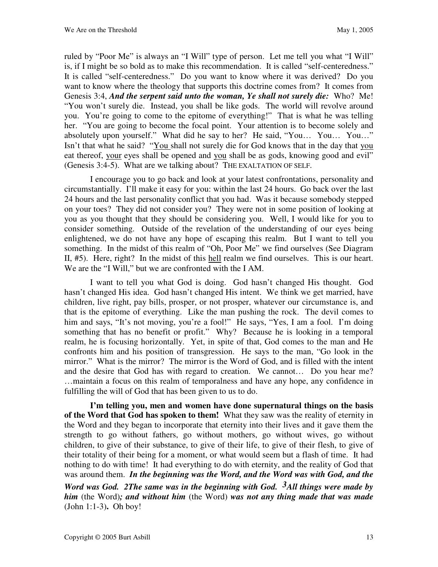ruled by "Poor Me" is always an "I Will" type of person. Let me tell you what "I Will" is, if I might be so bold as to make this recommendation. It is called "self-centeredness." It is called "self-centeredness." Do you want to know where it was derived? Do you want to know where the theology that supports this doctrine comes from? It comes from Genesis 3:4, *And the serpent said unto the woman, Ye shall not surely die:* Who? Me! "You won't surely die. Instead, you shall be like gods. The world will revolve around you. You're going to come to the epitome of everything!" That is what he was telling her. "You are going to become the focal point. Your attention is to become solely and absolutely upon yourself." What did he say to her? He said, "You… You… You…" Isn't that what he said? "You shall not surely die for God knows that in the day that you eat thereof, your eyes shall be opened and you shall be as gods, knowing good and evil" (Genesis 3:4-5). What are we talking about? THE EXALTATION OF SELF.

I encourage you to go back and look at your latest confrontations, personality and circumstantially. I'll make it easy for you: within the last 24 hours. Go back over the last 24 hours and the last personality conflict that you had. Was it because somebody stepped on your toes? They did not consider you? They were not in some position of looking at you as you thought that they should be considering you. Well, I would like for you to consider something. Outside of the revelation of the understanding of our eyes being enlightened, we do not have any hope of escaping this realm. But I want to tell you something. In the midst of this realm of "Oh, Poor Me" we find ourselves (See Diagram II, #5). Here, right? In the midst of this hell realm we find ourselves. This is our heart. We are the "I Will," but we are confronted with the I AM.

I want to tell you what God is doing. God hasn't changed His thought. God hasn't changed His idea. God hasn't changed His intent. We think we get married, have children, live right, pay bills, prosper, or not prosper, whatever our circumstance is, and that is the epitome of everything. Like the man pushing the rock. The devil comes to him and says, "It's not moving, you're a fool!" He says, "Yes, I am a fool. I'm doing something that has no benefit or profit." Why? Because he is looking in a temporal realm, he is focusing horizontally. Yet, in spite of that, God comes to the man and He confronts him and his position of transgression. He says to the man, "Go look in the mirror." What is the mirror? The mirror is the Word of God, and is filled with the intent and the desire that God has with regard to creation. We cannot… Do you hear me? …maintain a focus on this realm of temporalness and have any hope, any confidence in fulfilling the will of God that has been given to us to do.

**I'm telling you, men and women have done supernatural things on the basis of the Word that God has spoken to them!** What they saw was the reality of eternity in the Word and they began to incorporate that eternity into their lives and it gave them the strength to go without fathers, go without mothers, go without wives, go without children, to give of their substance, to give of their life, to give of their flesh, to give of their totality of their being for a moment, or what would seem but a flash of time. It had nothing to do with time! It had everything to do with eternity, and the reality of God that was around them. *In the beginning was the Word, and the Word was with God, and the* 

*Word was God. 2The same was in the beginning with God. 3All things were made by him* (the Word)*; and without him* (the Word) *was not any thing made that was made* (John 1:1-3)**.** Oh boy!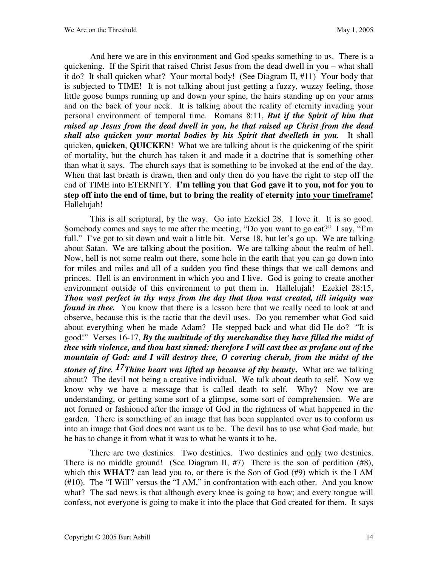And here we are in this environment and God speaks something to us. There is a quickening. If the Spirit that raised Christ Jesus from the dead dwell in you – what shall it do? It shall quicken what? Your mortal body! (See Diagram II, #11) Your body that is subjected to TIME! It is not talking about just getting a fuzzy, wuzzy feeling, those little goose bumps running up and down your spine, the hairs standing up on your arms and on the back of your neck. It is talking about the reality of eternity invading your personal environment of temporal time. Romans 8:11, *But if the Spirit of him that raised up Jesus from the dead dwell in you, he that raised up Christ from the dead shall also quicken your mortal bodies by his Spirit that dwelleth in you.* It shall quicken, **quicken**, **QUICKEN**! What we are talking about is the quickening of the spirit of mortality, but the church has taken it and made it a doctrine that is something other than what it says. The church says that is something to be invoked at the end of the day. When that last breath is drawn, then and only then do you have the right to step off the end of TIME into ETERNITY. **I'm telling you that God gave it to you, not for you to step off into the end of time, but to bring the reality of eternity into your timeframe!** Hallelujah!

This is all scriptural, by the way. Go into Ezekiel 28. I love it. It is so good. Somebody comes and says to me after the meeting, "Do you want to go eat?" I say, "I'm full." I've got to sit down and wait a little bit. Verse 18, but let's go up. We are talking about Satan. We are talking about the position. We are talking about the realm of hell. Now, hell is not some realm out there, some hole in the earth that you can go down into for miles and miles and all of a sudden you find these things that we call demons and princes. Hell is an environment in which you and I live. God is going to create another environment outside of this environment to put them in. Hallelujah! Ezekiel 28:15, *Thou wast perfect in thy ways from the day that thou wast created, till iniquity was found in thee.* You know that there is a lesson here that we really need to look at and observe, because this is the tactic that the devil uses. Do you remember what God said about everything when he made Adam? He stepped back and what did He do? "It is good!" Verses 16-17, *By the multitude of thy merchandise they have filled the midst of thee with violence, and thou hast sinned: therefore I will cast thee as profane out of the mountain of God: and I will destroy thee, O covering cherub, from the midst of the stones of fire. 17Thine heart was lifted up because of thy beauty***.** What are we talking about? The devil not being a creative individual. We talk about death to self. Now we know why we have a message that is called death to self. Why? Now we are understanding, or getting some sort of a glimpse, some sort of comprehension. We are not formed or fashioned after the image of God in the rightness of what happened in the garden. There is something of an image that has been supplanted over us to conform us into an image that God does not want us to be. The devil has to use what God made, but he has to change it from what it was to what he wants it to be.

There are two destinies. Two destinies. Two destinies and only two destinies. There is no middle ground! (See Diagram II,  $#7$ ) There is the son of perdition  $(H8)$ , which this **WHAT?** can lead you to, or there is the Son of God (#9) which is the I AM (#10). The "I Will" versus the "I AM," in confrontation with each other. And you know what? The sad news is that although every knee is going to bow; and every tongue will confess, not everyone is going to make it into the place that God created for them. It says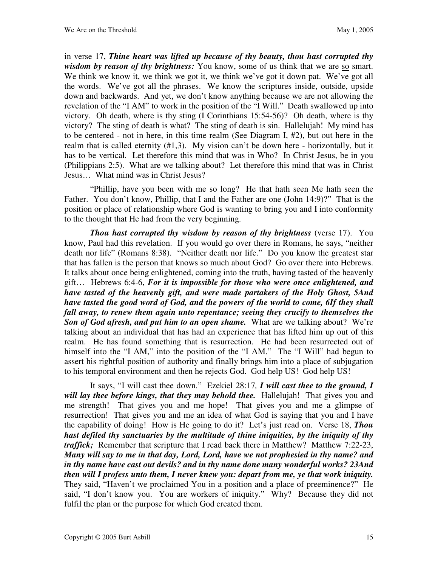in verse 17, *Thine heart was lifted up because of thy beauty, thou hast corrupted thy wisdom by reason of thy brightness:* You know, some of us think that we are so smart. We think we know it, we think we got it, we think we've got it down pat. We've got all the words. We've got all the phrases. We know the scriptures inside, outside, upside down and backwards. And yet, we don't know anything because we are not allowing the revelation of the "I AM" to work in the position of the "I Will." Death swallowed up into victory. Oh death, where is thy sting (I Corinthians 15:54-56)? Oh death, where is thy victory? The sting of death is what? The sting of death is sin. Hallelujah! My mind has to be centered - not in here, in this time realm (See Diagram I, #2), but out here in the realm that is called eternity (#1,3). My vision can't be down here - horizontally, but it has to be vertical. Let therefore this mind that was in Who? In Christ Jesus, be in you (Philippians 2:5). What are we talking about? Let therefore this mind that was in Christ Jesus… What mind was in Christ Jesus?

"Phillip, have you been with me so long? He that hath seen Me hath seen the Father. You don't know, Phillip, that I and the Father are one (John 14:9)?" That is the position or place of relationship where God is wanting to bring you and I into conformity to the thought that He had from the very beginning.

*Thou hast corrupted thy wisdom by reason of thy brightness* (verse 17). You know, Paul had this revelation. If you would go over there in Romans, he says, "neither death nor life" (Romans 8:38). "Neither death nor life." Do you know the greatest star that has fallen is the person that knows so much about God? Go over there into Hebrews. It talks about once being enlightened, coming into the truth, having tasted of the heavenly gift… Hebrews 6:4-6, *For it is impossible for those who were once enlightened, and have tasted of the heavenly gift, and were made partakers of the Holy Ghost, 5And have tasted the good word of God, and the powers of the world to come, 6If they shall fall away, to renew them again unto repentance; seeing they crucify to themselves the Son of God afresh, and put him to an open shame.* What are we talking about? We're talking about an individual that has had an experience that has lifted him up out of this realm. He has found something that is resurrection. He had been resurrected out of himself into the "I AM," into the position of the "I AM." The "I Will" had begun to assert his rightful position of authority and finally brings him into a place of subjugation to his temporal environment and then he rejects God. God help US! God help US!

It says, "I will cast thee down." Ezekiel 28:17*, I will cast thee to the ground, I will lay thee before kings, that they may behold thee.*Hallelujah! That gives you and me strength! That gives you and me hope! That gives you and me a glimpse of resurrection! That gives you and me an idea of what God is saying that you and I have the capability of doing! How is He going to do it? Let's just read on. Verse 18, *Thou hast defiled thy sanctuaries by the multitude of thine iniquities, by the iniquity of thy*  traffick; Remember that scripture that I read back there in Matthew? Matthew 7:22-23, *Many will say to me in that day, Lord, Lord, have we not prophesied in thy name? and in thy name have cast out devils? and in thy name done many wonderful works? 23And then will I profess unto them, I never knew you: depart from me, ye that work iniquity.*  They said, "Haven't we proclaimed You in a position and a place of preeminence?" He said, "I don't know you. You are workers of iniquity." Why? Because they did not fulfil the plan or the purpose for which God created them.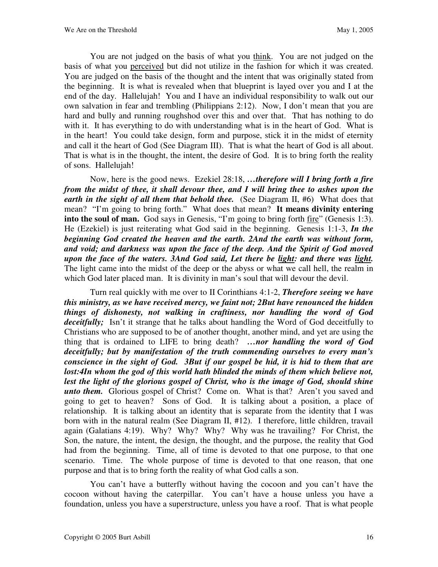You are not judged on the basis of what you think. You are not judged on the basis of what you perceived but did not utilize in the fashion for which it was created. You are judged on the basis of the thought and the intent that was originally stated from the beginning. It is what is revealed when that blueprint is layed over you and I at the end of the day. Hallelujah! You and I have an individual responsibility to walk out our own salvation in fear and trembling (Philippians 2:12). Now, I don't mean that you are hard and bully and running roughshod over this and over that. That has nothing to do with it. It has everything to do with understanding what is in the heart of God. What is in the heart! You could take design, form and purpose, stick it in the midst of eternity and call it the heart of God (See Diagram III). That is what the heart of God is all about. That is what is in the thought, the intent, the desire of God. It is to bring forth the reality of sons. Hallelujah!

Now, here is the good news. Ezekiel 28:18, *…therefore will I bring forth a fire from the midst of thee, it shall devour thee, and I will bring thee to ashes upon the earth in the sight of all them that behold thee.* (See Diagram II, #6) What does that mean? "I'm going to bring forth." What does that mean? **It means divinity entering**  into the soul of man. God says in Genesis, "I'm going to bring forth <u>fire</u>" (Genesis 1:3). He (Ezekiel) is just reiterating what God said in the beginning. Genesis 1:1-3, *In the beginning God created the heaven and the earth. 2And the earth was without form, and void; and darkness was upon the face of the deep. And the Spirit of God moved upon the face of the waters. 3And God said, Let there be light: and there was light.*  The light came into the midst of the deep or the abyss or what we call hell, the realm in which God later placed man. It is divinity in man's soul that will devour the devil.

Turn real quickly with me over to II Corinthians 4:1-2, *Therefore seeing we have this ministry, as we have received mercy, we faint not; 2But have renounced the hidden things of dishonesty, not walking in craftiness, nor handling the word of God deceitfully;*Isn't it strange that he talks about handling the Word of God deceitfully to Christians who are supposed to be of another thought, another mind, and yet are using the thing that is ordained to LIFE to bring death? *…nor handling the word of God deceitfully; but by manifestation of the truth commending ourselves to every man's conscience in the sight of God. 3But if our gospel be hid, it is hid to them that are*  lost:4In whom the god of this world hath blinded the minds of them which believe not, lest the light of the glorious gospel of Christ, who is the image of God, should shine *unto them.* Glorious gospel of Christ? Come on. What is that? Aren't you saved and going to get to heaven? Sons of God. It is talking about a position, a place of relationship. It is talking about an identity that is separate from the identity that I was born with in the natural realm (See Diagram II, #12). I therefore, little children, travail again (Galatians 4:19). Why? Why? Why? Why was he travailing? For Christ, the Son, the nature, the intent, the design, the thought, and the purpose, the reality that God had from the beginning. Time, all of time is devoted to that one purpose, to that one scenario. Time. The whole purpose of time is devoted to that one reason, that one purpose and that is to bring forth the reality of what God calls a son.

You can't have a butterfly without having the cocoon and you can't have the cocoon without having the caterpillar. You can't have a house unless you have a foundation, unless you have a superstructure, unless you have a roof. That is what people